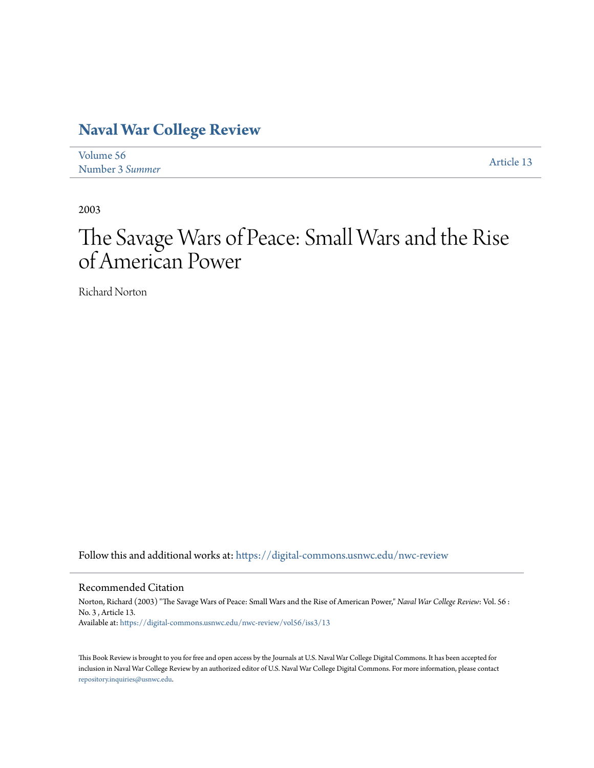## **[Naval War College Review](https://digital-commons.usnwc.edu/nwc-review?utm_source=digital-commons.usnwc.edu%2Fnwc-review%2Fvol56%2Fiss3%2F13&utm_medium=PDF&utm_campaign=PDFCoverPages)**

| Volume 56       | Article 13 |
|-----------------|------------|
| Number 3 Summer |            |

2003

## The Savage Wars of Peace: Small Wars and the Rise of American Power

Richard Norton

Follow this and additional works at: [https://digital-commons.usnwc.edu/nwc-review](https://digital-commons.usnwc.edu/nwc-review?utm_source=digital-commons.usnwc.edu%2Fnwc-review%2Fvol56%2Fiss3%2F13&utm_medium=PDF&utm_campaign=PDFCoverPages)

## Recommended Citation

Norton, Richard (2003) "The Savage Wars of Peace: Small Wars and the Rise of American Power," *Naval War College Review*: Vol. 56 : No. 3 , Article 13. Available at: [https://digital-commons.usnwc.edu/nwc-review/vol56/iss3/13](https://digital-commons.usnwc.edu/nwc-review/vol56/iss3/13?utm_source=digital-commons.usnwc.edu%2Fnwc-review%2Fvol56%2Fiss3%2F13&utm_medium=PDF&utm_campaign=PDFCoverPages)

This Book Review is brought to you for free and open access by the Journals at U.S. Naval War College Digital Commons. It has been accepted for inclusion in Naval War College Review by an authorized editor of U.S. Naval War College Digital Commons. For more information, please contact [repository.inquiries@usnwc.edu](mailto:repository.inquiries@usnwc.edu).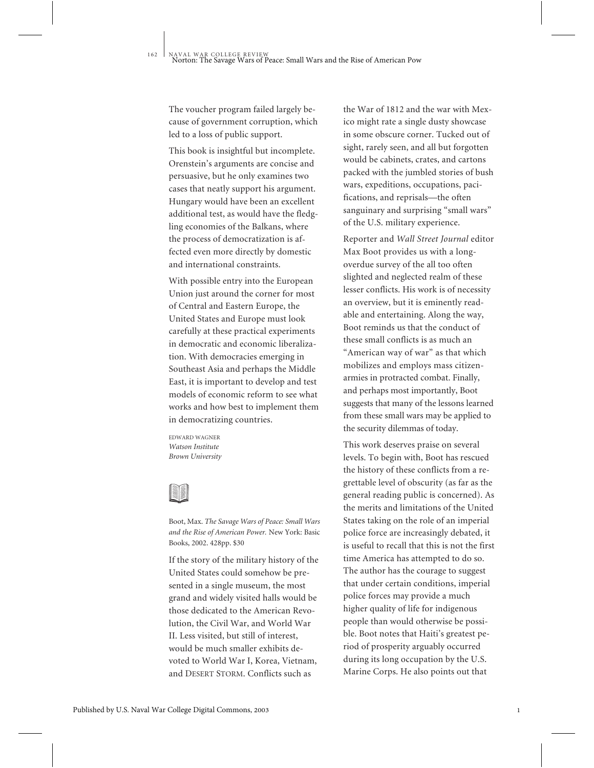The voucher program failed largely because of government corruption, which led to a loss of public support.

This book is insightful but incomplete. Orenstein's arguments are concise and persuasive, but he only examines two cases that neatly support his argument. Hungary would have been an excellent additional test, as would have the fledgling economies of the Balkans, where the process of democratization is affected even more directly by domestic and international constraints.

With possible entry into the European Union just around the corner for most of Central and Eastern Europe, the United States and Europe must look carefully at these practical experiments in democratic and economic liberalization. With democracies emerging in Southeast Asia and perhaps the Middle East, it is important to develop and test models of economic reform to see what works and how best to implement them in democratizing countries.

EDWARD WAGNER *Watson Institute Brown University*



Boot, Max. *The Savage Wars of Peace: Small Wars and the Rise of American Power.* New York: Basic Books, 2002. 428pp. \$30

If the story of the military history of the United States could somehow be presented in a single museum, the most grand and widely visited halls would be those dedicated to the American Revolution, the Civil War, and World War II. Less visited, but still of interest, would be much smaller exhibits devoted to World War I, Korea, Vietnam, and DESERT STORM. Conflicts such as

the War of 1812 and the war with Mexico might rate a single dusty showcase in some obscure corner. Tucked out of sight, rarely seen, and all but forgotten would be cabinets, crates, and cartons packed with the jumbled stories of bush wars, expeditions, occupations, pacifications, and reprisals—the often sanguinary and surprising "small wars" of the U.S. military experience.

Reporter and *Wall Street Journal* editor Max Boot provides us with a longoverdue survey of the all too often slighted and neglected realm of these lesser conflicts. His work is of necessity an overview, but it is eminently readable and entertaining. Along the way, Boot reminds us that the conduct of these small conflicts is as much an "American way of war" as that which mobilizes and employs mass citizenarmies in protracted combat. Finally, and perhaps most importantly, Boot suggests that many of the lessons learned from these small wars may be applied to the security dilemmas of today.

This work deserves praise on several levels. To begin with, Boot has rescued the history of these conflicts from a regrettable level of obscurity (as far as the general reading public is concerned). As the merits and limitations of the United States taking on the role of an imperial police force are increasingly debated, it is useful to recall that this is not the first time America has attempted to do so. The author has the courage to suggest that under certain conditions, imperial police forces may provide a much higher quality of life for indigenous people than would otherwise be possible. Boot notes that Haiti's greatest period of prosperity arguably occurred during its long occupation by the U.S. Marine Corps. He also points out that